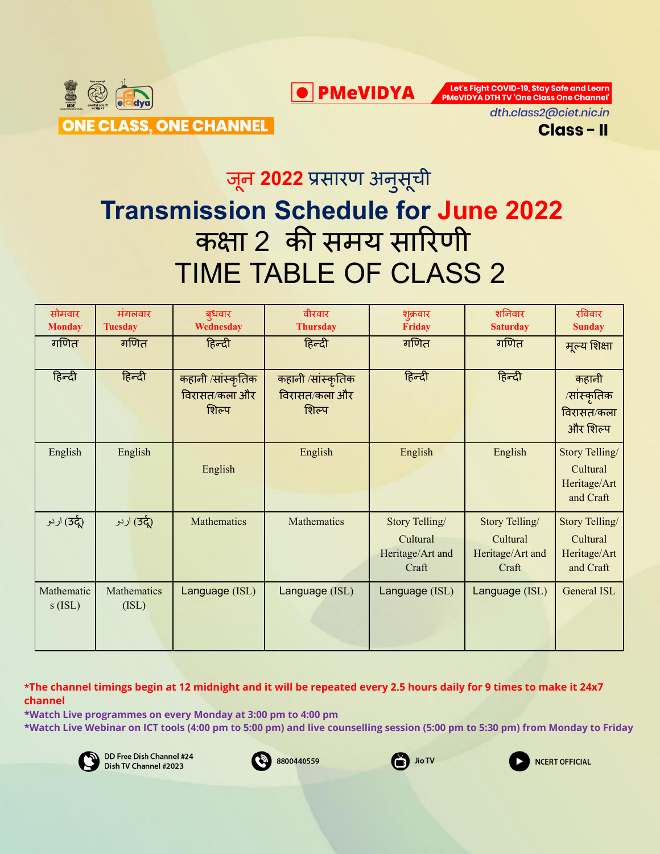

**O** PMeVIDYA

Let's Fight COVID-19, Stay Safe and Learn **PMeVIDYA DTH TV 'One Class One Channel'** 



## जून **2022** प्रसारण अनुसूची

# **Transmission Schedule for June 2022** कक्षा 2 की समय सारिणी TIME TABLE OF CLASS 2

| सोमवार                  | मंगलवार              | बुधवार                                      | वीरवार                                      | शुक्रवार                                                | शनिवार                                                  | रविवार                                                  |
|-------------------------|----------------------|---------------------------------------------|---------------------------------------------|---------------------------------------------------------|---------------------------------------------------------|---------------------------------------------------------|
| <b>Monday</b>           | <b>Tuesday</b>       | Wednesday                                   | <b>Thursday</b>                             | <b>Friday</b>                                           | <b>Saturday</b>                                         | <b>Sunday</b>                                           |
| गणित                    | गणित                 | हिन्दी                                      | हिन्दी                                      | गणित                                                    | गणित                                                    | मूल्य शिक्षा                                            |
| हिन्दी                  | हिन्दी               | कहानी /सांस्कृतिक<br>विरासत/कला और<br>शिल्प | कहानी /सांस्कृतिक<br>विरासत/कला और<br>शिल्प | हिन्दी                                                  | हिन्दी                                                  | कहानी<br>/सांस्कृतिक<br>विरासत/कला<br>और शिल्प          |
| English                 | English              | English                                     | English                                     | English                                                 | English                                                 | Story Telling/<br>Cultural<br>Heritage/Art<br>and Craft |
| اردو (3 <del>c</del>    | ردو (उर्दू)          | Mathematics                                 | Mathematics                                 | Story Telling/<br>Cultural<br>Heritage/Art and<br>Craft | Story Telling/<br>Cultural<br>Heritage/Art and<br>Craft | Story Telling/<br>Cultural<br>Heritage/Art<br>and Craft |
| Mathematic<br>$s$ (ISL) | Mathematics<br>(ISL) | Language (ISL)                              | Language (ISL)                              | Language (ISL)                                          | Language (ISL)                                          | General ISL                                             |

\*The channel timings begin at 12 midnight and it will be repeated every 2.5 hours daily for 9 times to make it 24x7 **channel**

**\*Watch Live programmes on every Monday at 3:00 pm to 4:00 pm \*Watch Live Webinar on ICT tools (4:00 pm to 5:00 pm) and live counselling session (5:00 pm to 5:30 pm) from Monday to Friday**







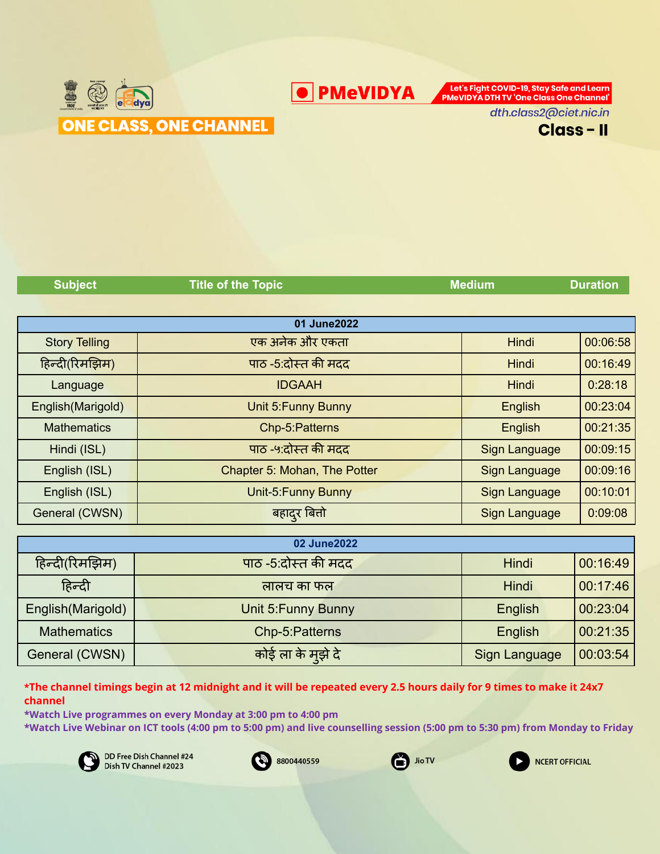

**O** PMeVIDYA

Let's Fight COVID-19, Stay Safe and Learn PMeVIDYA DTH TV 'One Class One Channel'

dth.class2@ciet.nic.in



| <b>Subject</b>       | <b>Title of the Topic</b>    | <b>Medium</b> | <b>Duration</b> |
|----------------------|------------------------------|---------------|-----------------|
|                      |                              |               |                 |
|                      | 01 June2022                  |               |                 |
| <b>Story Telling</b> | एक अनेक और एकता              | Hindi         | 00:06:58        |
| हिन्दी(रिमझिम)       | पाठ -5:दोस्त की मदद          | Hindi         | 00:16:49        |
| Language             | <b>IDGAAH</b>                | Hindi         | 0:28:18         |
| English(Marigold)    | Unit 5: Funny Bunny          | English       | 00:23:04        |
| <b>Mathematics</b>   | Chp-5:Patterns               | English       | 00:21:35        |
| Hindi (ISL)          | पाठ -५:दोस्त की मदद          | Sign Language | 00:09:15        |
| English (ISL)        | Chapter 5: Mohan, The Potter | Sign Language | 00:09:16        |
| English (ISL)        | Unit-5: Funny Bunny          | Sign Language | 00:10:01        |
| General (CWSN)       | <mark>बहाद</mark> ुर बितो    | Sign Language | 0:09:08         |
|                      |                              |               |                 |
|                      | 0.0110000                    |               |                 |

| 02 June2022        |                     |               |          |  |  |
|--------------------|---------------------|---------------|----------|--|--|
| हिन्दी(रिमझिम)     | पाठ -5:दोस्त की मदद | Hindi         | 00:16:49 |  |  |
| हिन्दी             | लालच का फल          | Hindi         | 00:17:46 |  |  |
| English (Marigold) | Unit 5: Funny Bunny | English       | 00:23:04 |  |  |
| <b>Mathematics</b> | Chp-5:Patterns      | English       | 00:21:35 |  |  |
| General (CWSN)     | कोई ला के मुझे दे   | Sign Language | 00:03:54 |  |  |

\*The channel timings begin at 12 midnight and it will be repeated every 2.5 hours daily for 9 times to make it 24x7 **channel**

**\*Watch Live programmes on every Monday at 3:00 pm to 4:00 pm**

**\*Watch Live Webinar on ICT tools (4:00 pm to 5:00 pm) and live counselling session (5:00 pm to 5:30 pm) from Monday to Friday**







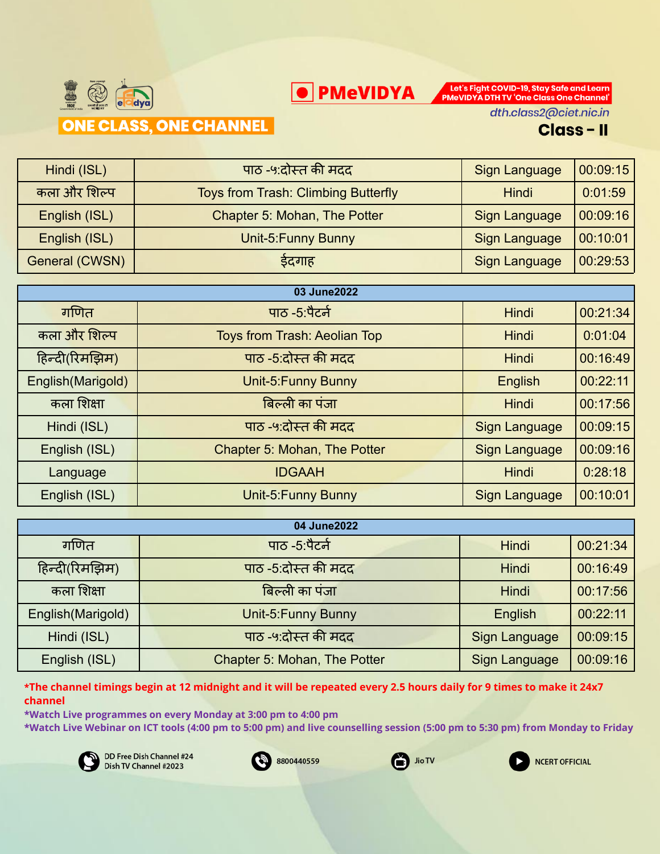



dth.class2@ciet.nic.in

#### **Class-II**

| Hindi (ISL)    | पाठ -५:दोस्त की मदद                        | Sign Language        | 00:09:15 |
|----------------|--------------------------------------------|----------------------|----------|
| कला और शिल्प   | <b>Toys from Trash: Climbing Butterfly</b> | <b>Hindi</b>         | 0:01:59  |
| English (ISL)  | Chapter 5: Mohan, The Potter               | Sign Language        | 00:09:16 |
| English (ISL)  | Unit-5: Funny Bunny                        | <b>Sign Language</b> | 00:10:01 |
| General (CWSN) | इंदगाह                                     | Sign Language        | 00:29:53 |

| 03 June2022        |                                     |                      |          |  |
|--------------------|-------------------------------------|----------------------|----------|--|
| गणित               | पाठ -5:पैटर्न                       | Hindi                | 00:21:34 |  |
| कला और शिल्प       | <b>Toys from Trash: Aeolian Top</b> | Hindi                | 0:01:04  |  |
| हिन्दी(रिमझिम)     | पाठ -5:दोस्त की मदद                 | Hindi                | 00:16:49 |  |
| English (Marigold) | Unit-5: Funny Bunny                 | English              | 00:22:11 |  |
| कला शिक्षा         | बिल्ली का पंजा                      | Hindi                | 00:17:56 |  |
| Hindi (ISL)        | पाठ -५:दोस्त की मदद                 | <b>Sign Language</b> | 00:09:15 |  |
| English (ISL)      | Chapter 5: Mohan, The Potter        | <b>Sign Language</b> | 00:09:16 |  |
| Language           | <b>IDGAAH</b>                       | Hindi                | 0:28:18  |  |
| English (ISL)      | Unit-5: Funny Bunny                 | Sign Language        | 00:10:01 |  |

| 04 June2022       |                              |                      |          |  |
|-------------------|------------------------------|----------------------|----------|--|
| गणित              | पाठ -5:पैटर्न                | <b>Hindi</b>         | 00:21:34 |  |
| हिन्दी(रिमझिम)    | पाठ -5:दोस्त की मदद          | <b>Hindi</b>         | 00:16:49 |  |
| कला शिक्षा        | बिल्ली का पंजा               | Hindi                | 00:17:56 |  |
| English(Marigold) | Unit-5: Funny Bunny          | English              | 00:22:11 |  |
| Hindi (ISL)       | पाठ -५:दोस्त की मदद          | <b>Sign Language</b> | 00:09:15 |  |
| English (ISL)     | Chapter 5: Mohan, The Potter | Sign Language        | 00:09:16 |  |

\*The channel timings begin at 12 midnight and it will be repeated every 2.5 hours daily for 9 times to make it 24x7 **channel**

**\*Watch Live programmes on every Monday at 3:00 pm to 4:00 pm**

**\*Watch Live Webinar on ICT tools (4:00 pm to 5:00 pm) and live counselling session (5:00 pm to 5:30 pm) from Monday to Friday**







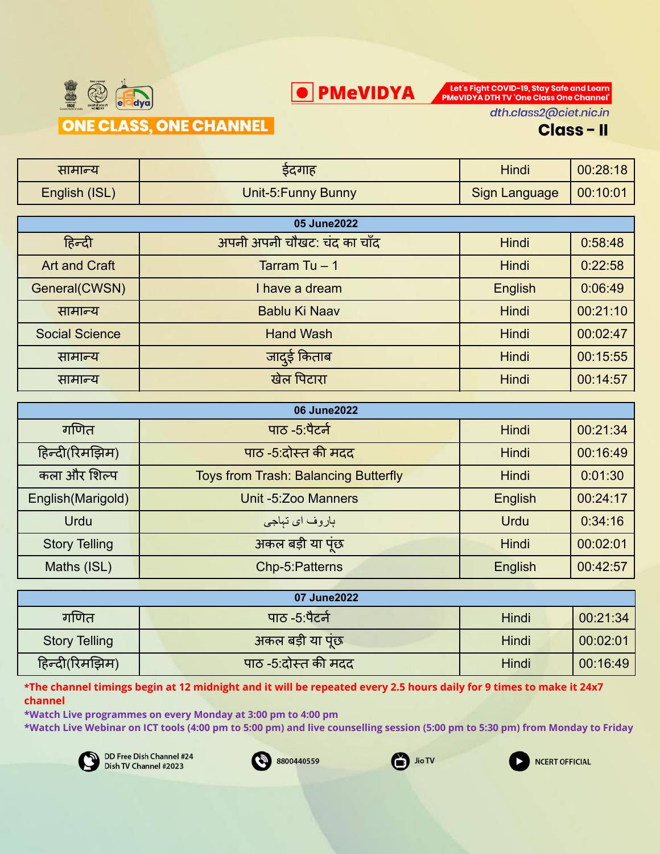



dth.class2@ciet.nic.in

#### **Class-II**

| सामान्य               | ईदगाह                       | <b>Hindi</b>         | 00:28:18 |
|-----------------------|-----------------------------|----------------------|----------|
| English (ISL)         | Unit-5: Funny Bunny         | <b>Sign Language</b> | 00:10:01 |
|                       |                             |                      |          |
|                       | 05 June2022                 |                      |          |
| हिन्दी                | अपनी अपनी चौखट: चंद का चाँद | <b>Hindi</b>         | 0.58.48  |
| <b>Art and Craft</b>  | Tarram Tu $-1$              | <b>Hindi</b>         | 0:22:58  |
| General(CWSN)         | I have a dream              | English              | 0:06:49  |
| सामान्य               | Bablu Ki Naav               | <b>Hindi</b>         | 00:21:10 |
| <b>Social Science</b> | <b>Hand Wash</b>            | <b>Hindi</b>         | 00:02:47 |
| सामान्य               | जाद्ई किताब                 | Hindi                | 00:15:55 |
| सामान्य               | खेल पिटारा                  | Hindi                | 00:14:57 |

| 06 June2022          |                                             |                |          |  |
|----------------------|---------------------------------------------|----------------|----------|--|
| गणित                 | पाठ -5:पैटर्न                               | <b>Hindi</b>   | 00:21:34 |  |
| हिन्दी(रिमझिम)       | पाठ -5:दोस्त की मदद                         | <b>Hindi</b>   | 00:16:49 |  |
| कला और शिल्प         | <b>Toys from Trash: Balancing Butterfly</b> | Hindi          | 0:01:30  |  |
| English (Marigold)   | Unit -5:Zoo Manners                         | <b>English</b> | 00:24:17 |  |
| <b>Urdu</b>          | باروف اي تباجي                              | <b>Urdu</b>    | 0:34:16  |  |
| <b>Story Telling</b> | अकल बड़ी या पंछ                             | Hindi          | 00:02:01 |  |
| Maths (ISL)          | Chp-5:Patterns                              | English        | 00:42:57 |  |

|                      | 07 June2022         |       |          |  |  |  |
|----------------------|---------------------|-------|----------|--|--|--|
| गणित                 | पाठ -5.पैटर्न       | Hindi | 00:21:34 |  |  |  |
| <b>Story Telling</b> | अकल बड़ी या पूंछ    | Hindi | 00:02:01 |  |  |  |
| हिन्दी(रिमझिम)       | पाठ -5:दोस्त की मदद | Hindi | 00:16:49 |  |  |  |

\*The channel timings begin at 12 midnight and it will be repeated every 2.5 hours daily for 9 times to make it 24x7 **channel**

**\*Watch Live programmes on every Monday at 3:00 pm to 4:00 pm**

**\*Watch Live Webinar on ICT tools (4:00 pm to 5:00 pm) and live counselling session (5:00 pm to 5:30 pm) from Monday to Friday**







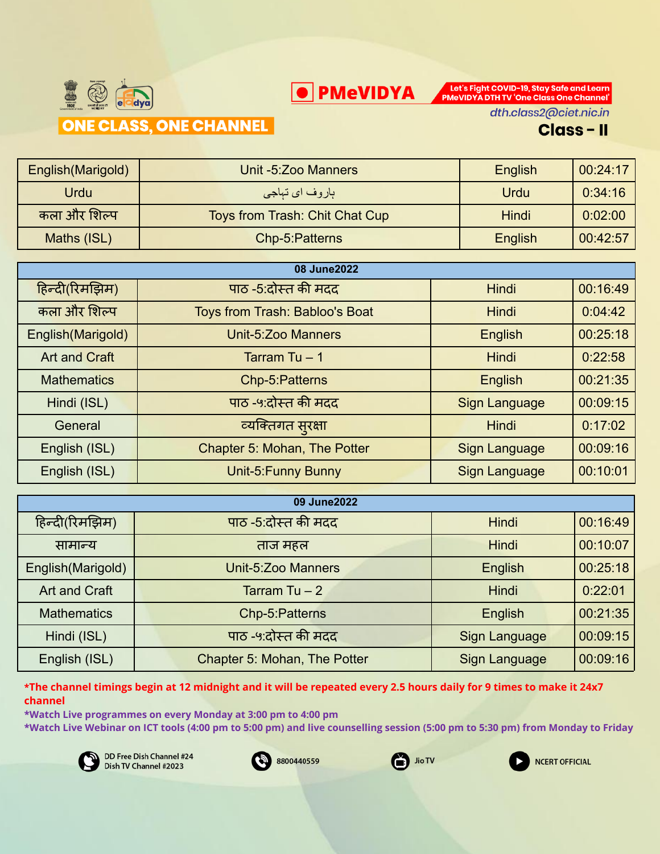

PMeVIDYA DTH TV 'One Class One Channel' dth.class2@ciet.nic.in

Let's Fight COVID-19, Stay Safe and Learn

**Class-II** 

| English (Marigold) | Unit -5: Zoo Manners           | English      | 00:24:17 |
|--------------------|--------------------------------|--------------|----------|
| <b>Urdu</b>        | ہاروف ا <i>ی</i> تہاجی         | Urdu         | 0:34:16  |
| कला और शिल्प       | Toys from Trash: Chit Chat Cup | <b>Hindi</b> | 0:02:00  |
| Maths (ISL)        | Chp-5: Patterns                | English      | 00:42:57 |

O PMeVIDYA

| 08 June2022          |                                |                      |          |  |
|----------------------|--------------------------------|----------------------|----------|--|
| हिन्दी(रिमझिम)       | पाठ -5:दोस्त की मदद            | Hindi                | 00:16:49 |  |
| कला और शिल्प         | Toys from Trash: Babloo's Boat | <b>Hindi</b>         | 0:04:42  |  |
| English (Marigold)   | Unit-5:Zoo Manners             | English              | 00:25:18 |  |
| <b>Art and Craft</b> | Tarram Tu $-1$                 | <b>Hindi</b>         | 0:22:58  |  |
| <b>Mathematics</b>   | Chp-5:Patterns                 | English              | 00:21:35 |  |
| Hindi (ISL)          | पाठ -५:दोस्त की मदद            | <b>Sign Language</b> | 00:09:15 |  |
| General              | व्यक्तिगत सुरक्षा              | <b>Hindi</b>         | 0:17:02  |  |
| English (ISL)        | Chapter 5: Mohan, The Potter   | Sign Language        | 00:09:16 |  |
| English (ISL)        | Unit-5: Funny Bunny            | <b>Sign Language</b> | 00:10:01 |  |

| 09 June2022        |                              |               |          |  |
|--------------------|------------------------------|---------------|----------|--|
| हिन्दी(रिमझिम)     | पाठ -5:दोस्त की मदद          | <b>Hindi</b>  | 00:16:49 |  |
| सामान्य            | ताज महल                      | <b>Hindi</b>  | 00:10:07 |  |
| English (Marigold) | Unit-5:Zoo Manners           | English       | 00:25:18 |  |
| Art and Craft      | Tarram Tu $-2$               | <b>Hindi</b>  | 0:22:01  |  |
| <b>Mathematics</b> | Chp-5:Patterns               | English       | 00:21:35 |  |
| Hindi (ISL)        | पाठ -५:दोस्त की मदद          | Sign Language | 00:09:15 |  |
| English (ISL)      | Chapter 5: Mohan, The Potter | Sign Language | 00:09:16 |  |

\*The channel timings begin at 12 midnight and it will be repeated every 2.5 hours daily for 9 times to make it 24x7 **channel**

**\*Watch Live programmes on every Monday at 3:00 pm to 4:00 pm**

**\*Watch Live Webinar on ICT tools (4:00 pm to 5:00 pm) and live counselling session (5:00 pm to 5:30 pm) from Monday to Friday**







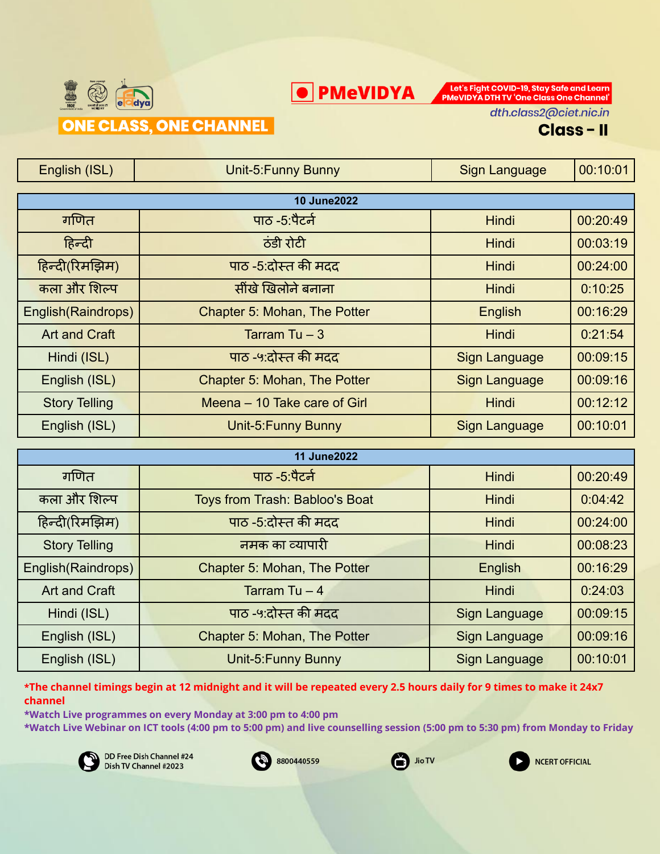



dth.class2@ciet.nic.in

#### **Class-II**

| English (ISL)        | Unit-5: Funny Bunny          | Sign Language        | 00:10:01 |
|----------------------|------------------------------|----------------------|----------|
|                      |                              |                      |          |
|                      | <b>10 June2022</b>           |                      |          |
| गणित                 | पाठ -5:पैटर्न                | <b>Hindi</b>         | 00:20:49 |
| हिन्दी               | ठंडी रोटी                    | <b>Hindi</b>         | 00:03:19 |
| हिन्दी(रिमझिम)       | पाठ -5:दोस्त की मदद          | <b>Hindi</b>         | 00:24:00 |
| कला और शिल्प         | सींखे खिलोने बनाना           | <b>Hindi</b>         | 0:10:25  |
| English(Raindrops)   | Chapter 5: Mohan, The Potter | English              | 00:16:29 |
| <b>Art and Craft</b> | Tarram Tu – 3                | <b>Hindi</b>         | 0.21.54  |
| Hindi (ISL)          | पाठ -५:दोस्त की मदद          | Sign Language        | 00:09:15 |
| English (ISL)        | Chapter 5: Mohan, The Potter | <b>Sign Language</b> | 00:09:16 |
| <b>Story Telling</b> | Meena - 10 Take care of Girl | <b>Hindi</b>         | 00:12:12 |
| English (ISL)        | Unit-5: Funny Bunny          | <b>Sign Language</b> | 00:10:01 |
|                      |                              |                      |          |

| <b>11 June2022</b>   |                                |                      |          |
|----------------------|--------------------------------|----------------------|----------|
| गणित                 | पाठ -5:पैटर्न                  | <b>Hindi</b>         | 00:20:49 |
| कला और शिल्प         | Toys from Trash: Babloo's Boat | <b>Hindi</b>         | 0.04:42  |
| हिन्दी(रिमझिम)       | पाठ -5:दोस्त की मदद            | <b>Hindi</b>         | 00:24:00 |
| <b>Story Telling</b> | नमक का व्यापारी                | <b>Hindi</b>         | 00:08:23 |
| English(Raindrops)   | Chapter 5: Mohan, The Potter   | English              | 00:16:29 |
| <b>Art and Craft</b> | Tarram Tu $-4$                 | Hindi                | 0:24:03  |
| Hindi (ISL)          | पाठ -५:दोस्त की मदद            | Sign Language        | 00:09:15 |
| English (ISL)        | Chapter 5: Mohan, The Potter   | Sign Language        | 00:09:16 |
| English (ISL)        | Unit-5: Funny Bunny            | <b>Sign Language</b> | 00:10:01 |

\*The channel timings begin at 12 midnight and it will be repeated every 2.5 hours daily for 9 times to make it 24x7 **channel**

**\*Watch Live programmes on every Monday at 3:00 pm to 4:00 pm**

**\*Watch Live Webinar on ICT tools (4:00 pm to 5:00 pm) and live counselling session (5:00 pm to 5:30 pm) from Monday to Friday**







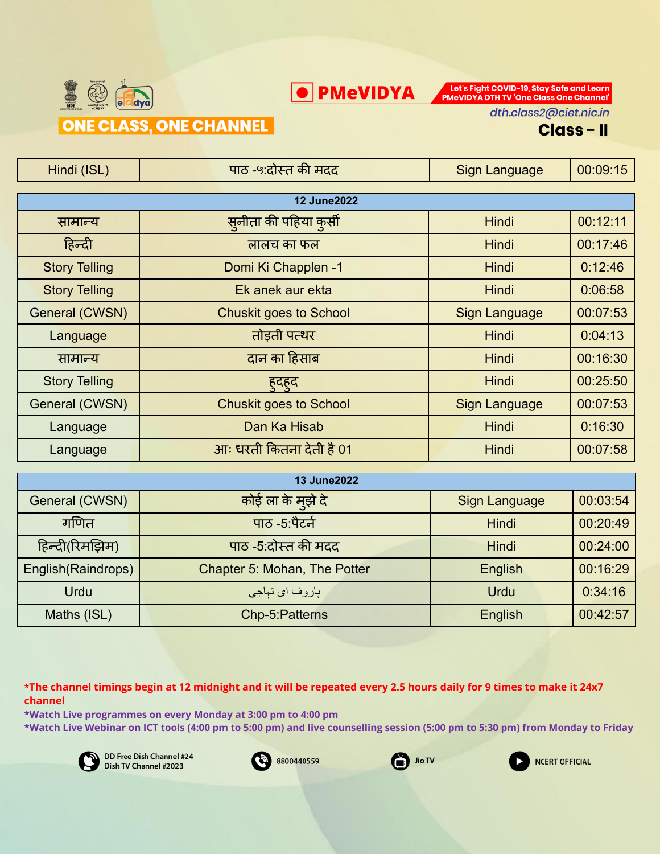



dth.class2@ciet.nic.in

#### **Class-II**

| Hindi (ISL)          | पाठ -५:दोस्त की मदद           | <b>Sign Language</b> | 00:09:15 |
|----------------------|-------------------------------|----------------------|----------|
|                      |                               |                      |          |
|                      | <b>12 June2022</b>            |                      |          |
| सामान्य              | सनीता की पहिया कर्सी          | <b>Hindi</b>         | 00:12:11 |
| हिन्दी               | लालच का फल                    | <b>Hindi</b>         | 00:17:46 |
| <b>Story Telling</b> | Domi Ki Chapplen -1           | Hindi                | 0:12:46  |
| <b>Story Telling</b> | Ek anek aur ekta              | Hindi                | 0:06:58  |
| General (CWSN)       | <b>Chuskit goes to School</b> | Sign Language        | 00:07:53 |
| Language             | तोड़ती पत्थर                  | Hindi                | 0:04:13  |
| सामान्य              | दान का हिसाब                  | Hindi                | 00:16:30 |
| <b>Story Telling</b> | हदहद                          | Hindi                | 00:25:50 |
| General (CWSN)       | <b>Chuskit goes to School</b> | <b>Sign Language</b> | 00:07:53 |
| Language             | Dan Ka Hisab                  | Hindi                | 0:16:30  |
| Language             | आः धरती कितना देती है 01      | Hindi                | 00:07:58 |
|                      |                               |                      |          |

| <b>13 June2022</b> |                              |               |          |
|--------------------|------------------------------|---------------|----------|
| General (CWSN)     | कोई ला के म्इ़ो दे           | Sign Language | 00:03:54 |
| गणित               | पाठ -5 पैटर्न                | <b>Hindi</b>  | 00:20:49 |
| हिन्दी(रिमझिम)     | पाठ -5:दोस्त की मदद          | <b>Hindi</b>  | 00:24:00 |
| English(Raindrops) | Chapter 5: Mohan, The Potter | English       | 00:16:29 |
| <b>Urdu</b>        | ٻاروف ا <i>ي</i> تٻاجي       | Urdu          | 0:34:16  |
| Maths (ISL)        | Chp-5: Patterns              | English       | 00:42:57 |

\*The channel timings begin at 12 midnight and it will be repeated every 2.5 hours daily for 9 times to make it 24x7 **channel**

**\*Watch Live programmes on every Monday at 3:00 pm to 4:00 pm \*Watch Live Webinar on ICT tools (4:00 pm to 5:00 pm) and live counselling session (5:00 pm to 5:30 pm) from Monday to Friday**







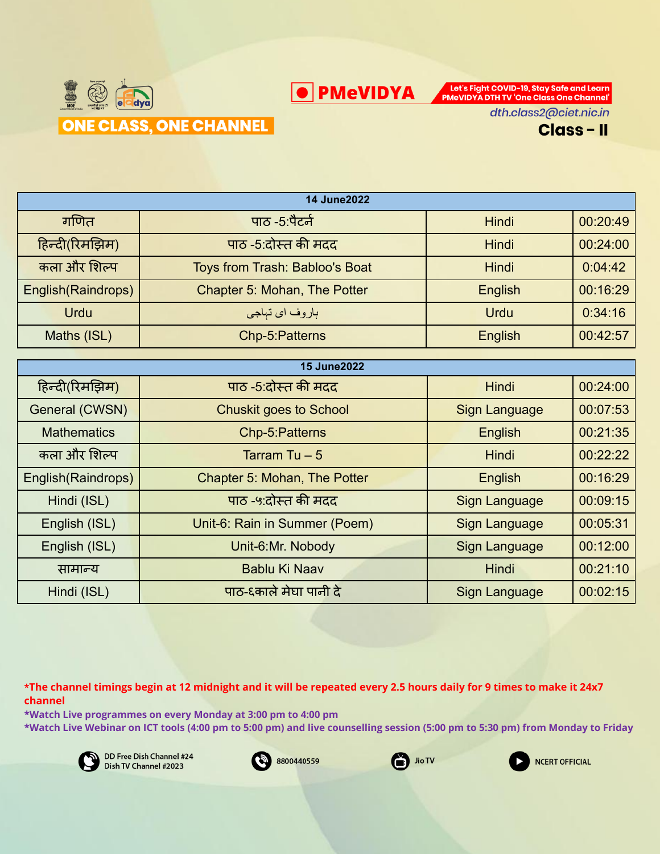



| <b>14 June2022</b> |                                       |                      |          |
|--------------------|---------------------------------------|----------------------|----------|
|                    |                                       |                      |          |
| गणित               | पाठ -5:पैटर्न                         | Hindi                | 00:20:49 |
| हिन्दी(रिमझिम)     | पाठ -5:दोस्त की मदद                   | Hindi                | 00:24:00 |
| कला और शिल्प       | <b>Toys from Trash: Babloo's Boat</b> | <b>Hindi</b>         | 0:04:42  |
| English(Raindrops) | Chapter 5: Mohan, The Potter          | English              | 00:16:29 |
| Urdu               | ٻاروف ا <i>ي</i> تٻاجي                | <b>Urdu</b>          | 0:34:16  |
| Maths (ISL)        | Chp-5:Patterns                        | English              | 00:42:57 |
|                    |                                       |                      |          |
|                    | <b>15 June2022</b>                    |                      |          |
| हिन्दी(रिमझिम)     | पाठ -5:दोस्त की मदद                   | <b>Hindi</b>         | 00:24:00 |
| General (CWSN)     | <b>Chuskit goes to School</b>         | <b>Sign Language</b> | 00:07:53 |
| <b>Mathematics</b> | Chp-5:Patterns                        | English              | 00:21:35 |
| कला और शिल्प       | Tarram Tu $-5$                        | <b>Hindi</b>         | 00:22:22 |

**O** PMeVIDYA

English(Raindrops) Chapter 5: Mohan, The Potter Figlish English 100:16:29

Hindi (ISL) | सिंग पाठ - ५:दोस्त की मदद | Sign Language | 00:09:15

English (ISL) | Unit-6: Rain in Summer (Poem) | Sign Language | 00:05:31

English (ISL) | Unit-6:Mr. Nobody | Sign Language | 00:12:00

सामान्य Bablu Ki Naav Hindi 00:21:10

Hindi (ISL) पाठ-६कालेमेघा पानी दे Sign Language 00:02:15

\*The channel timings begin at 12 midnight and it will be repeated every 2.5 hours daily for 9 times to make it 24x7 **channel**

**\*Watch Live programmes on every Monday at 3:00 pm to 4:00 pm \*Watch Live Webinar on ICT tools (4:00 pm to 5:00 pm) and live counselling session (5:00 pm to 5:30 pm) from Monday to Friday**







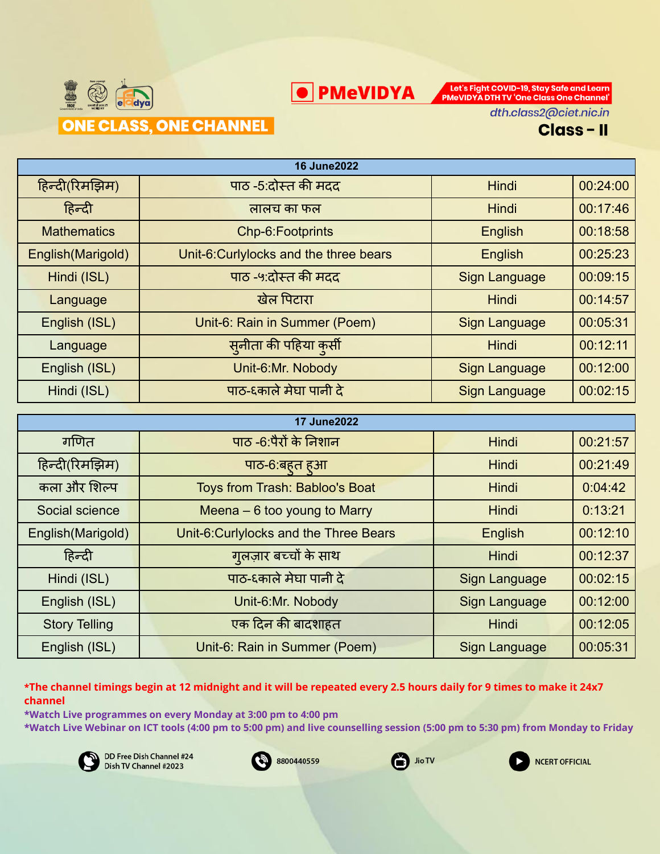



dth.class2@ciet.nic.in

#### **Class-II**

| <b>16 June2022</b> |                                        |                      |          |
|--------------------|----------------------------------------|----------------------|----------|
| हिन्दी(रिमझिम)     | पाठ -5:दोस्त की मदद                    | Hindi                | 00:24:00 |
| हिन्दी             | लालच का फल                             | Hindi                | 00:17:46 |
| <b>Mathematics</b> | Chp-6:Footprints                       | English              | 00:18:58 |
| English (Marigold) | Unit-6: Curlylocks and the three bears | English              | 00:25:23 |
| Hindi (ISL)        | पाठ -५:दोस्त की मदद                    | Sign Language        | 00:09:15 |
| Language           | खेल पिटारा                             | Hindi                | 00:14:57 |
| English (ISL)      | Unit-6: Rain in Summer (Poem)          | <b>Sign Language</b> | 00:05:31 |
| Language           | सनीता की पहिया कुसी                    | <b>Hindi</b>         | 00:12:11 |
| English (ISL)      | Unit-6:Mr. Nobody                      | <b>Sign Language</b> | 00:12:00 |
| Hindi (ISL)        | पाठ-६काले मेघा पानी दे                 | <b>Sign Language</b> | 00:02:15 |

| <b>17 June2022</b>   |                                       |                      |          |
|----------------------|---------------------------------------|----------------------|----------|
| गणित                 | पाठ -6:पैरों के निशान                 | <b>Hindi</b>         | 00:21:57 |
| हिन्दी(रिमझिम)       | पाठ-6:बहत हुआ                         | <b>Hindi</b>         | 00:21:49 |
| कला और शिल्प         | Toys from Trash: Babloo's Boat        | <b>Hindi</b>         | 0:04:42  |
| Social science       | Meena $-6$ too young to Marry         | <b>Hindi</b>         | 0:13:21  |
| English(Marigold)    | Unit-6:Curlylocks and the Three Bears | English              | 00:12:10 |
| हिन्दी               | गुलज़ार बच्चों के साथ                 | <b>Hindi</b>         | 00:12:37 |
| Hindi (ISL)          | पाठ-६काले मेघा पानी दे                | Sign Language        | 00:02:15 |
| English (ISL)        | Unit-6:Mr. Nobody                     | <b>Sign Language</b> | 00:12:00 |
| <b>Story Telling</b> | एक दिन की बादशाहत                     | <b>Hindi</b>         | 00:12:05 |
| English (ISL)        | Unit-6: Rain in Summer (Poem)         | <b>Sign Language</b> | 00:05:31 |

\*The channel timings begin at 12 midnight and it will be repeated every 2.5 hours daily for 9 times to make it 24x7 **channel**

**\*Watch Live programmes on every Monday at 3:00 pm to 4:00 pm \*Watch Live Webinar on ICT tools (4:00 pm to 5:00 pm) and live counselling session (5:00 pm to 5:30 pm) from Monday to Friday**







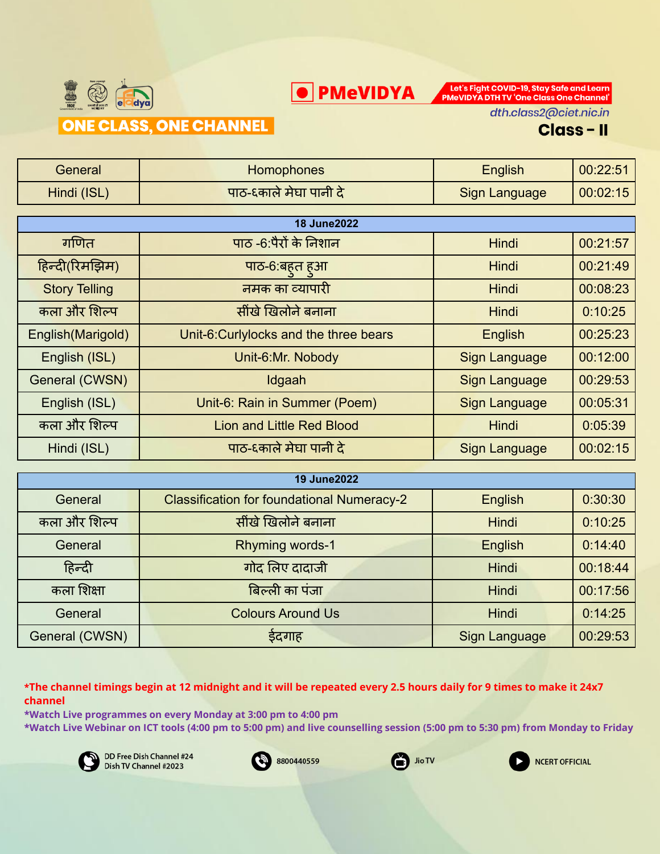



dth.class2@ciet.nic.in

#### **Class-II**

| General              | Homophones                             | English              | 00:22:51 |
|----------------------|----------------------------------------|----------------------|----------|
| Hindi (ISL)          | पाठ-६काले मेघा पानी दे                 | <b>Sign Language</b> | 00:02:15 |
|                      |                                        |                      |          |
|                      | <b>18 June2022</b>                     |                      |          |
| गणित                 | पाठ -6:पैरों के निशान                  | <b>Hindi</b>         | 00:21:57 |
| हिन्दी(रिमझिम)       | पाठ-6:बहुत हुआ                         | <b>Hindi</b>         | 00:21:49 |
| <b>Story Telling</b> | नमक का व्यापारी                        | <b>Hindi</b>         | 00:08:23 |
| कला और शिल्प         | सींखे खिलोने बनाना                     | <b>Hindi</b>         | 0:10:25  |
| English (Marigold)   | Unit-6: Curlylocks and the three bears | English              | 00:25:23 |
| English (ISL)        | Unit-6:Mr. Nobody                      | <b>Sign Language</b> | 00:12:00 |
| General (CWSN)       | Idgaah                                 | <b>Sign Language</b> | 00:29:53 |
| English (ISL)        | Unit-6: Rain in Summer (Poem)          | <b>Sign Language</b> | 00:05:31 |
| कला और शिल्प         | <b>Lion and Little Red Blood</b>       | <b>Hindi</b>         | 0:05:39  |
| Hindi (ISL)          | पाठ-६काले मेघा पानी दे                 | <b>Sign Language</b> | 00:02:15 |
|                      |                                        |                      |          |

| <b>19 June2022</b> |                                                   |               |          |
|--------------------|---------------------------------------------------|---------------|----------|
| General            | <b>Classification for foundational Numeracy-2</b> | English       | 0:30:30  |
| कला और शिल्प       | सींखे खिलोने बनाना                                | Hindi         | 0:10:25  |
| General            | Rhyming words-1                                   | English       | 0:14:40  |
| हिन्दी             | गोद लिए दादाजी                                    | Hindi         | 00:18:44 |
| कला शिक्षा         | बिल्ली का पंजा                                    | Hindi         | 00:17:56 |
| General            | <b>Colours Around Us</b>                          | Hindi         | 0:14:25  |
| General (CWSN)     | ईदगाह                                             | Sign Language | 00:29:53 |

\*The channel timings begin at 12 midnight and it will be repeated every 2.5 hours daily for 9 times to make it 24x7 **channel**

**\*Watch Live programmes on every Monday at 3:00 pm to 4:00 pm \*Watch Live Webinar on ICT tools (4:00 pm to 5:00 pm) and live counselling session (5:00 pm to 5:30 pm) from Monday to Friday**







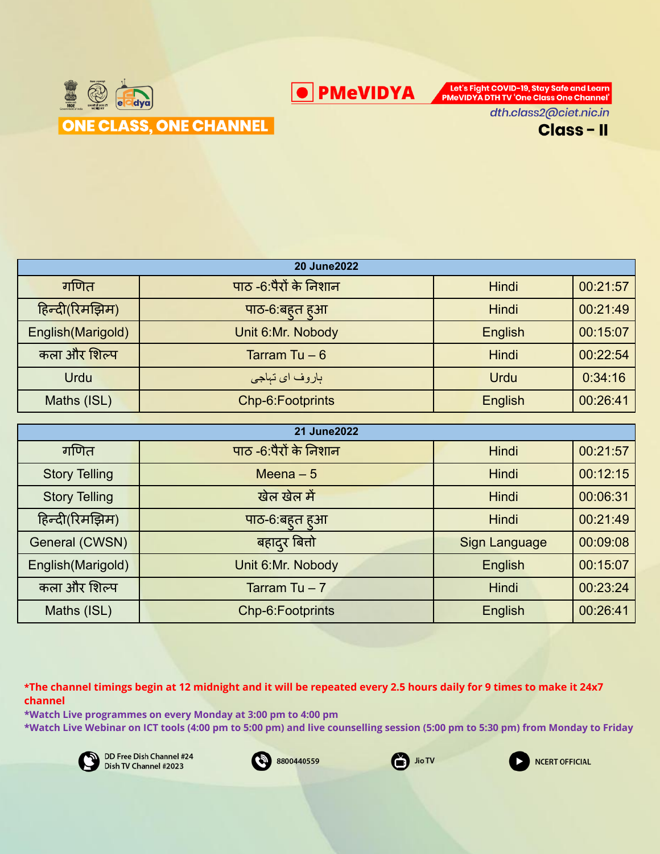**O** PMeVIDYA

Let's Fight COVID-19, Stay Safe and Learn PMeVIDYA DTH TV 'One Class One Channel'



dth.class2@ciet.nic.in



| <b>20 June 2022</b> |                        |              |          |
|---------------------|------------------------|--------------|----------|
| गणित                | पाठ -6:पैरों के निशान  | <b>Hindi</b> | 00:21:57 |
| हिन्दी(रिमझिम)      | पाठ-6:बहत हुआ          | <b>Hindi</b> | 00:21:49 |
| English (Marigold)  | Unit 6:Mr. Nobody      | English      | 00:15:07 |
| कला और शिल्प        | Tarram Tu $-6$         | <b>Hindi</b> | 00:22:54 |
| <b>Urdu</b>         | ٻاروف ا <i>ي</i> تٻاجي | <b>Urdu</b>  | 0:34:16  |
| Maths (ISL)         | Chp-6: Footprints      | English      | 00:26:41 |

| 21 June 2022         |                       |               |          |
|----------------------|-----------------------|---------------|----------|
| गणित                 | पाठ -6:पैरों के निशान | <b>Hindi</b>  | 00:21:57 |
| <b>Story Telling</b> | Meena $-5$            | <b>Hindi</b>  | 00:12:15 |
| <b>Story Telling</b> | खेल खेल में           | <b>Hindi</b>  | 00:06:31 |
| हिन्दी(रिमझिम)       | पाठ-6:बहत हुआ         | <b>Hindi</b>  | 00:21:49 |
| General (CWSN)       | बहादुर बित्तो         | Sign Language | 00:09:08 |
| English (Marigold)   | Unit 6:Mr. Nobody     | English       | 00:15:07 |
| कला और शिल्प         | Tarram Tu $-7$        | <b>Hindi</b>  | 00:23:24 |
| Maths (ISL)          | Chp-6: Footprints     | English       | 00:26:41 |

\*The channel timings begin at 12 midnight and it will be repeated every 2.5 hours daily for 9 times to make it 24x7 **channel**

**\*Watch Live programmes on every Monday at 3:00 pm to 4:00 pm \*Watch Live Webinar on ICT tools (4:00 pm to 5:00 pm) and live counselling session (5:00 pm to 5:30 pm) from Monday to Friday**







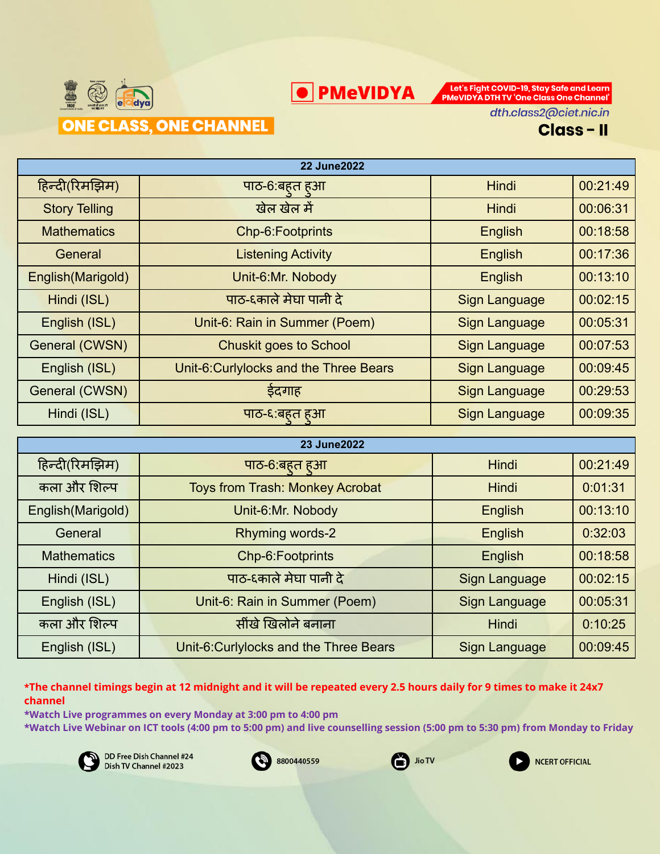



dth.class2@ciet.nic.in

**Class-II** 

| <b>22 June 2022</b>  |                                        |                      |          |
|----------------------|----------------------------------------|----------------------|----------|
| हिन्दी(रिमझिम)       | पाठ-6:बहत हुआ                          | Hindi                | 00:21:49 |
| <b>Story Telling</b> | खेल खेल में                            | Hindi                | 00:06:31 |
| <b>Mathematics</b>   | Chp-6:Footprints                       | English              | 00:18:58 |
| General              | <b>Listening Activity</b>              | English              | 00:17:36 |
| English (Marigold)   | Unit-6:Mr. Nobody                      | English              | 00:13:10 |
| Hindi (ISL)          | पाठ-६काले मेघा पानी दे                 | <b>Sign Language</b> | 00:02:15 |
| English (ISL)        | Unit-6: Rain in Summer (Poem)          | Sign Language        | 00:05:31 |
| General (CWSN)       | <b>Chuskit goes to School</b>          | Sign Language        | 00:07:53 |
| English (ISL)        | Unit-6: Curlylocks and the Three Bears | <b>Sign Language</b> | 00:09:45 |
| General (CWSN)       | ईदगाह                                  | <b>Sign Language</b> | 00:29:53 |
| Hindi (ISL)          | पाठ-६ बहुत हुआ                         | <b>Sign Language</b> | 00:09:35 |

| <b>23 June 2022</b> |                                        |                      |          |
|---------------------|----------------------------------------|----------------------|----------|
| हिन्दी(रिमझिम)      | पाठ-6:बहत हुआ                          | Hindi                | 00:21:49 |
| कला और शिल्प        | <b>Toys from Trash: Monkey Acrobat</b> | <b>Hindi</b>         | 0:01:31  |
| English(Marigold)   | Unit-6:Mr. Nobody                      | English              | 00:13:10 |
| General             | Rhyming words-2                        | English              | 0:32:03  |
| <b>Mathematics</b>  | Chp-6: Footprints                      | English              | 00:18:58 |
| Hindi (ISL)         | पाठ-६काले मेघा पानी दे                 | <b>Sign Language</b> | 00:02:15 |
| English (ISL)       | Unit-6: Rain in Summer (Poem)          | <b>Sign Language</b> | 00:05:31 |
| कला और शिल्प        | सींखे खिलोने बनाना                     | Hindi                | 0:10:25  |
| English (ISL)       | Unit-6: Curlylocks and the Three Bears | <b>Sign Language</b> | 00:09:45 |

\*The channel timings begin at 12 midnight and it will be repeated every 2.5 hours daily for 9 times to make it 24x7 **channel**

**\*Watch Live programmes on every Monday at 3:00 pm to 4:00 pm \*Watch Live Webinar on ICT tools (4:00 pm to 5:00 pm) and live counselling session (5:00 pm to 5:30 pm) from Monday to Friday**







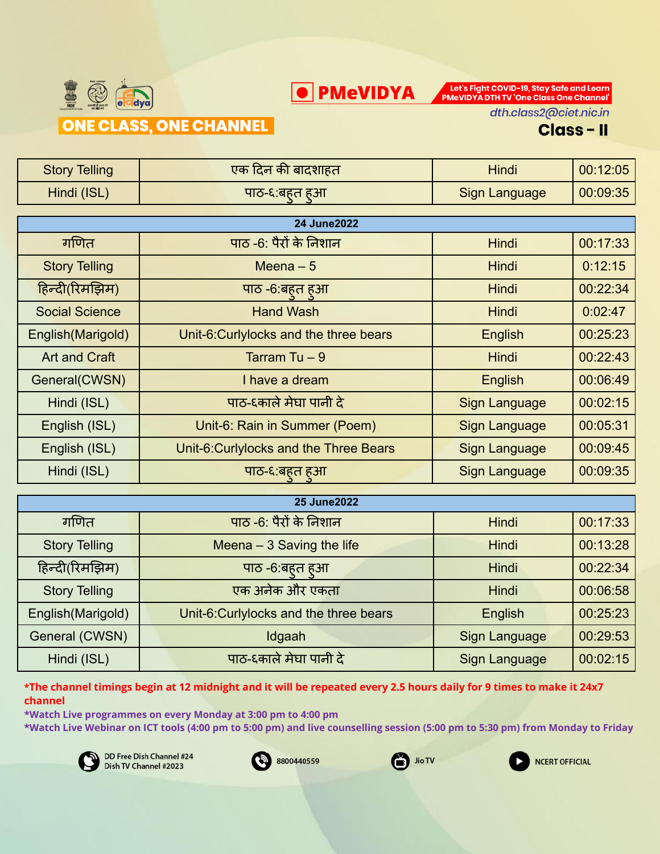



dth.class2@ciet.nic.in

### **Class-II**

| <b>Story Telling</b>  | एक दिन की बादशाहत                                                                                                             | <b>Hindi</b>                | 00:12:05 |
|-----------------------|-------------------------------------------------------------------------------------------------------------------------------|-----------------------------|----------|
| Hindi (ISL)           | पाठ-६:बहत हुआ                                                                                                                 | Sign Language               | 00:09:35 |
|                       |                                                                                                                               |                             |          |
|                       | <b>24 June2022</b>                                                                                                            |                             |          |
| गणित                  | पाठ -6: पैरों के निशान                                                                                                        | <b>Hindi</b>                | 00:17:33 |
| <b>Story Telling</b>  | Meena $-5$                                                                                                                    | <b>Hindi</b>                | 0:12:15  |
| हिन्दी(रिमझिम)        | पाठ -6:बहुत हुआ                                                                                                               | <b>Hindi</b>                | 00:22:34 |
| <b>Social Science</b> | <b>Hand Wash</b>                                                                                                              | <b>Hindi</b>                | 0:02:47  |
| English(Marigold)     | Unit-6:Curlylocks and the three bears                                                                                         | <b>English</b>              | 00:25:23 |
| <b>Art and Craft</b>  | Tarram Tu $-9$                                                                                                                | <b>Hindi</b>                | 00:22:43 |
| General(CWSN)         | I have a dream                                                                                                                | English                     | 00:06:49 |
| Hindi (ISL)           | पाठ-६काले मेघा पानी दे                                                                                                        | <b>Sign Language</b>        | 00:02:15 |
| English (ISL)         | Unit-6: Rain in Summer (Poem)                                                                                                 | <b>Sign Language</b>        | 00:05:31 |
| English (ISL)         | Unit-6: Curlylocks and the Three Bears                                                                                        | <b>Sign Language</b>        | 00:09:45 |
| Hindi (ISL)           | पाठ-६:बहत हुआ                                                                                                                 | <b>Sign Language</b>        | 00:09:35 |
|                       |                                                                                                                               |                             |          |
| <b>25 June 2022</b>   |                                                                                                                               |                             |          |
| $-$                   | $\frac{1}{1}$ $\frac{1}{1}$ $\frac{1}{1}$ $\frac{1}{1}$ $\frac{1}{1}$ $\frac{1}{1}$ $\frac{1}{1}$ $\frac{1}{1}$ $\frac{1}{1}$ | <b>The Property Control</b> | 00.47.00 |

| <b>25 June 2022</b>  |                                       |                      |          |
|----------------------|---------------------------------------|----------------------|----------|
| गणित                 | पाठ -6: पैरों के निशान                | <b>Hindi</b>         | 00:17:33 |
| <b>Story Telling</b> | Meena $-3$ Saving the life            | <b>Hindi</b>         | 00:13:28 |
| हिन्दी(रिमझिम)       | पाठ -6:बहत हुआ                        | <b>Hindi</b>         | 00:22:34 |
| <b>Story Telling</b> | एक अनेक और एकता                       | <b>Hindi</b>         | 00:06:58 |
| English (Marigold)   | Unit-6:Curlylocks and the three bears | English              | 00:25:23 |
| General (CWSN)       | Idgaah                                | <b>Sign Language</b> | 00:29:53 |
| Hindi (ISL)          | पाठ-६काले मेघा पानी दे                | <b>Sign Language</b> | 00:02:15 |

\*The channel timings begin at 12 midnight and it will be repeated every 2.5 hours daily for 9 times to make it 24x7 **channel**

**\*Watch Live programmes on every Monday at 3:00 pm to 4:00 pm**

**\*Watch Live Webinar on ICT tools (4:00 pm to 5:00 pm) and live counselling session (5:00 pm to 5:30 pm) from Monday to Friday**







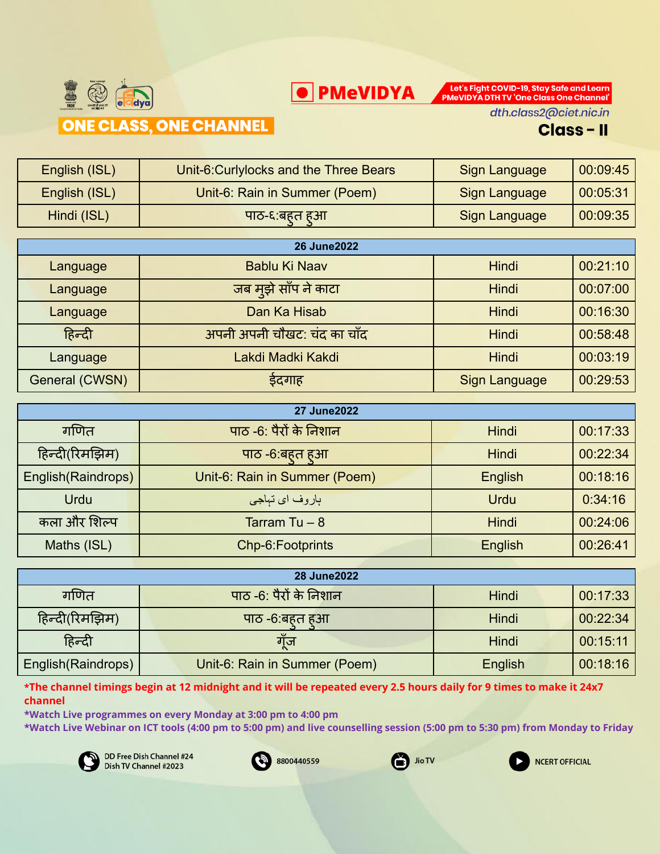



dth.class2@ciet.nic.in

#### **Class-II**

| English (ISL) | Unit-6: Curlylocks and the Three Bears | <b>Sign Language</b> | 00:09:45 |
|---------------|----------------------------------------|----------------------|----------|
| English (ISL) | Unit-6: Rain in Summer (Poem)          | <b>Sign Language</b> | 00:05:31 |
| Hindi (ISL)   | पाठ-६:बहत हुआ                          | <b>Sign Language</b> | 00:09:35 |
|               |                                        |                      |          |
|               | <b>26 June 2022</b>                    |                      |          |
| Language      | Bablu Ki Naav                          | <b>Hindi</b>         | 00:21:10 |
| Language      | जब मूझे साँप ने काटा                   | <b>Hindi</b>         | 00:07:00 |
| Language      | Dan Ka Hisab                           | <b>Hindi</b>         | 00:16:30 |
| हिन्दी        | अपनी अपनी चौखट: चंद का चाँद            | Hindi                | 00:58:48 |
|               |                                        |                      |          |

Language | Lakdi Madki Kakdi | Hindi | 00:03:19

General (CWSN) | इंदगाह | Sign Language | 00:29:53

|                     | <b>27 June 2022</b>           |              |          |
|---------------------|-------------------------------|--------------|----------|
| गणित                | पाठ -6: पैरों के निशान        | <b>Hindi</b> | 00:17:33 |
| हिन्दी(रिमझिम)      | पाठ -6:बहुत हुआ               | <b>Hindi</b> | 00:22:34 |
| English (Raindrops) | Unit-6: Rain in Summer (Poem) | English      | 00:18:16 |
| <b>Urdu</b>         | باروف ا <i>ی</i> تباجی        | <b>Urdu</b>  | 0:34:16  |
| कला और शिल्प        | Tarram Tu $-8$                | <b>Hindi</b> | 00:24:06 |
| Maths (ISL)         | Chp-6: Footprints             | English      | 00:26:41 |

| <b>28 June 2022</b> |                               |              |          |
|---------------------|-------------------------------|--------------|----------|
| गणित                | पाठ -6: पैरों के निशान        | <b>Hindi</b> | 00:17:33 |
| हिन्दी(रिमझिम)      | पाठ -6:बहत हुआ                | <b>Hindi</b> | 00:22:34 |
| हिन्दी              | गॅंज                          | Hindi        | 00:15:11 |
| English (Raindrops) | Unit-6: Rain in Summer (Poem) | English      | 00:18:16 |

\*The channel timings begin at 12 midnight and it will be repeated every 2.5 hours daily for 9 times to make it 24x7 **channel**

**\*Watch Live programmes on every Monday at 3:00 pm to 4:00 pm**

**\*Watch Live Webinar on ICT tools (4:00 pm to 5:00 pm) and live counselling session (5:00 pm to 5:30 pm) from Monday to Friday**







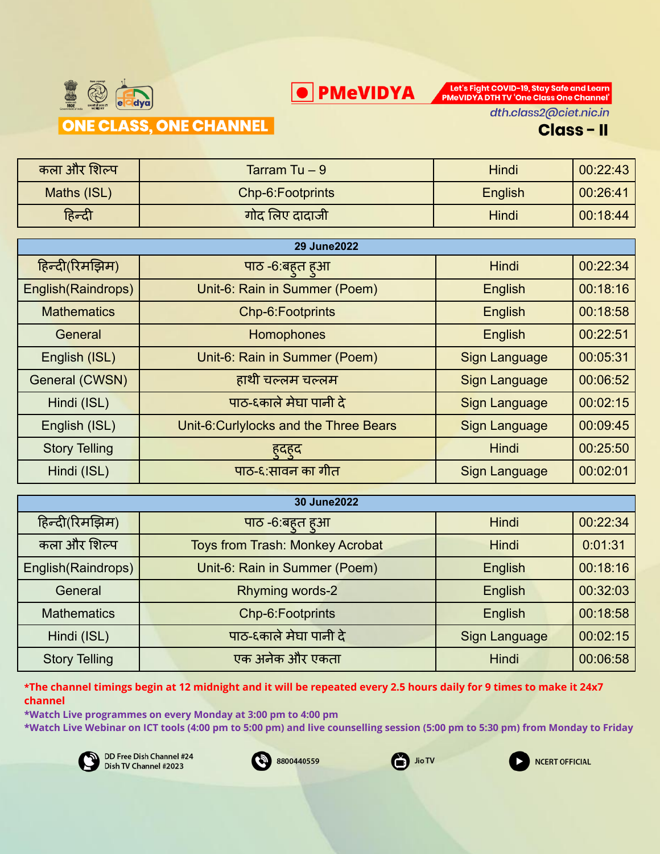



dth.class2@ciet.nic.in

#### **Class-II**

| कला और शिल्प | Tarram Tu $-9$    | Hindi   | 00:22:43 |
|--------------|-------------------|---------|----------|
| Maths (ISL)  | Chp-6: Footprints | English | 00:26:41 |
| हिन्दी       | गोद लिए दादाजी    | Hindi   | 00:18:44 |

| <b>29 June2022</b>   |                                       |                      |          |
|----------------------|---------------------------------------|----------------------|----------|
| हिन्दी(रिमझिम)       | पाठ -6:बहत हुआ                        | <b>Hindi</b>         | 00:22:34 |
| English(Raindrops)   | Unit-6: Rain in Summer (Poem)         | English              | 00:18:16 |
| <b>Mathematics</b>   | Chp-6:Footprints                      | English              | 00:18:58 |
| General              | Homophones                            | English              | 00:22:51 |
| English (ISL)        | Unit-6: Rain in Summer (Poem)         | <b>Sign Language</b> | 00:05:31 |
| General (CWSN)       | हाथी चल्लम चल्लम                      | <b>Sign Language</b> | 00:06:52 |
| Hindi (ISL)          | पाठ-६काले मेघा पानी दे                | <b>Sign Language</b> | 00:02:15 |
| English (ISL)        | Unit-6:Curlylocks and the Three Bears | <b>Sign Language</b> | 00:09:45 |
| <b>Story Telling</b> | हुदहुद                                | Hindi                | 00:25:50 |
| Hindi (ISL)          | पाठ-६:सावन का गीत                     | <b>Sign Language</b> | 00:02:01 |

| 30 June2022          |                                        |               |          |
|----------------------|----------------------------------------|---------------|----------|
| हिन्दी(रिमझिम)       | पाठ -6:बहत हुआ                         | <b>Hindi</b>  | 00:22:34 |
| कला और शिल्प         | <b>Toys from Trash: Monkey Acrobat</b> | <b>Hindi</b>  | 0:01:31  |
| English(Raindrops)   | Unit-6: Rain in Summer (Poem)          | English       | 00:18:16 |
| General              | Rhyming words-2                        | English       | 00:32:03 |
| <b>Mathematics</b>   | Chp-6:Footprints                       | English       | 00:18:58 |
| Hindi (ISL)          | पाठ-६काले मेघा पानी दे                 | Sign Language | 00:02:15 |
| <b>Story Telling</b> | एक अनेक और एकता                        | <b>Hindi</b>  | 00:06:58 |

\*The channel timings begin at 12 midnight and it will be repeated every 2.5 hours daily for 9 times to make it 24x7 **channel**

**\*Watch Live programmes on every Monday at 3:00 pm to 4:00 pm**

**\*Watch Live Webinar on ICT tools (4:00 pm to 5:00 pm) and live counselling session (5:00 pm to 5:30 pm) from Monday to Friday**